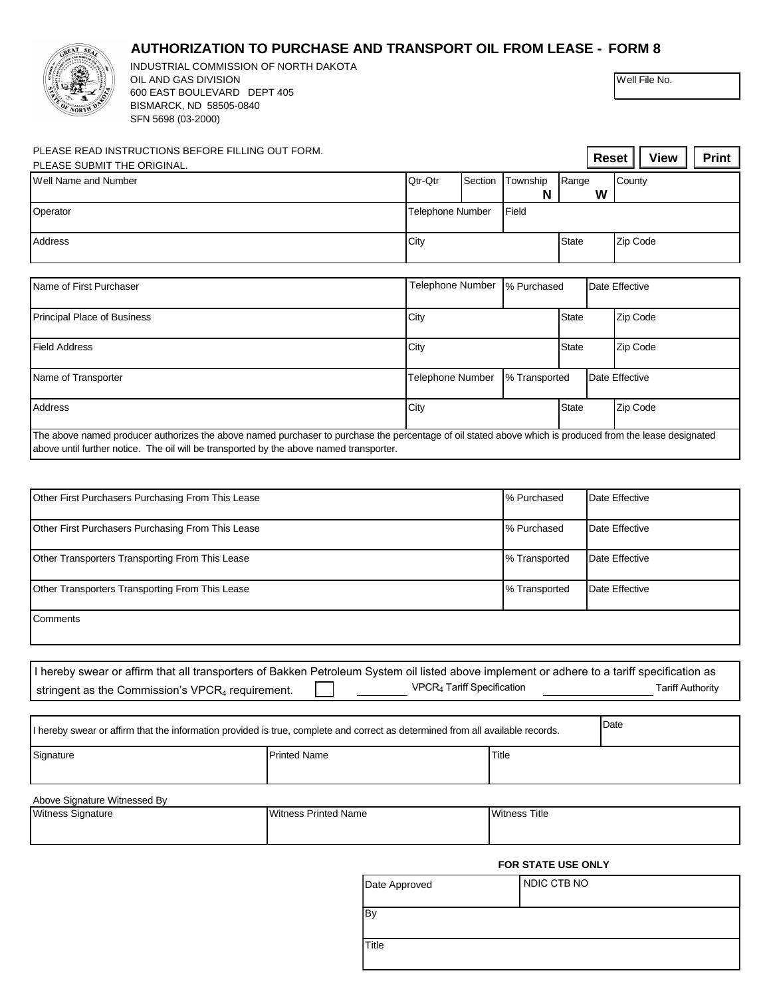## **AUTHORIZATION TO PURCHASE AND TRANSPORT OIL FROM LEASE -**



| REAT SEA                                                                                                                       | <b>AUTHORIZATION TO PURCHASE AND TRANSPORT OIL FROM LEASE - FORM 8</b>                                                                                                                                                                              |             |                                        |                |                      |              |                                             |                |                         |  |  |
|--------------------------------------------------------------------------------------------------------------------------------|-----------------------------------------------------------------------------------------------------------------------------------------------------------------------------------------------------------------------------------------------------|-------------|----------------------------------------|----------------|----------------------|--------------|---------------------------------------------|----------------|-------------------------|--|--|
|                                                                                                                                | INDUSTRIAL COMMISSION OF NORTH DAKOTA<br>OIL AND GAS DIVISION                                                                                                                                                                                       |             |                                        |                |                      |              |                                             | Well File No.  |                         |  |  |
|                                                                                                                                | 600 EAST BOULEVARD DEPT 405<br>BISMARCK, ND 58505-0840                                                                                                                                                                                              |             |                                        |                |                      |              |                                             |                |                         |  |  |
|                                                                                                                                | SFN 5698 (03-2000)                                                                                                                                                                                                                                  |             |                                        |                |                      |              |                                             |                |                         |  |  |
| PLEASE READ INSTRUCTIONS BEFORE FILLING OUT FORM.                                                                              |                                                                                                                                                                                                                                                     |             |                                        |                |                      |              | <b>View</b><br><b>Print</b><br><b>Reset</b> |                |                         |  |  |
| PLEASE SUBMIT THE ORIGINAL.                                                                                                    |                                                                                                                                                                                                                                                     |             |                                        |                |                      |              |                                             |                |                         |  |  |
| Well Name and Number                                                                                                           |                                                                                                                                                                                                                                                     |             | Qtr-Qtr                                | Section        | Township<br>N        | Range        | W                                           | County         |                         |  |  |
| Operator                                                                                                                       |                                                                                                                                                                                                                                                     |             | Field<br>Telephone Number              |                |                      |              |                                             |                |                         |  |  |
| Address                                                                                                                        |                                                                                                                                                                                                                                                     |             | City                                   |                |                      | <b>State</b> |                                             | Zip Code       |                         |  |  |
| Name of First Purchaser                                                                                                        |                                                                                                                                                                                                                                                     |             | Telephone Number<br>% Purchased        |                |                      |              |                                             | Date Effective |                         |  |  |
| Principal Place of Business                                                                                                    |                                                                                                                                                                                                                                                     |             | City                                   |                | <b>State</b>         |              | Zip Code                                    |                |                         |  |  |
| <b>Field Address</b>                                                                                                           |                                                                                                                                                                                                                                                     |             | City                                   |                |                      | <b>State</b> |                                             | Zip Code       |                         |  |  |
| Name of Transporter                                                                                                            |                                                                                                                                                                                                                                                     |             | % Transported<br>Telephone Number      |                |                      |              |                                             | Date Effective |                         |  |  |
| Address                                                                                                                        |                                                                                                                                                                                                                                                     |             |                                        | City           |                      |              | <b>State</b><br>Zip Code                    |                |                         |  |  |
|                                                                                                                                | The above named producer authorizes the above named purchaser to purchase the percentage of oil stated above which is produced from the lease designated<br>above until further notice. The oil will be transported by the above named transporter. |             |                                        |                |                      |              |                                             |                |                         |  |  |
|                                                                                                                                |                                                                                                                                                                                                                                                     |             |                                        |                |                      |              |                                             |                |                         |  |  |
| Other First Purchasers Purchasing From This Lease                                                                              |                                                                                                                                                                                                                                                     | % Purchased |                                        |                | Date Effective       |              |                                             |                |                         |  |  |
| Other First Purchasers Purchasing From This Lease                                                                              | % Purchased                                                                                                                                                                                                                                         |             |                                        | Date Effective |                      |              |                                             |                |                         |  |  |
| Other Transporters Transporting From This Lease                                                                                |                                                                                                                                                                                                                                                     |             |                                        | % Transported  |                      |              | Date Effective                              |                |                         |  |  |
| Other Transporters Transporting From This Lease                                                                                |                                                                                                                                                                                                                                                     |             |                                        | % Transported  |                      |              | Date Effective                              |                |                         |  |  |
| Comments                                                                                                                       |                                                                                                                                                                                                                                                     |             |                                        |                |                      |              |                                             |                |                         |  |  |
|                                                                                                                                |                                                                                                                                                                                                                                                     |             |                                        |                |                      |              |                                             |                |                         |  |  |
|                                                                                                                                | I hereby swear or affirm that all transporters of Bakken Petroleum System oil listed above implement or adhere to a tariff specification as                                                                                                         |             |                                        |                |                      |              |                                             |                |                         |  |  |
|                                                                                                                                | stringent as the Commission's VPCR <sub>4</sub> requirement.                                                                                                                                                                                        |             | VPCR <sub>4</sub> Tariff Specification |                |                      |              |                                             |                | <b>Tariff Authority</b> |  |  |
|                                                                                                                                |                                                                                                                                                                                                                                                     |             |                                        |                |                      |              |                                             |                |                         |  |  |
| I hereby swear or affirm that the information provided is true, complete and correct as determined from all available records. |                                                                                                                                                                                                                                                     |             |                                        |                |                      |              |                                             | Date           |                         |  |  |
| Signature                                                                                                                      | <b>Printed Name</b>                                                                                                                                                                                                                                 |             |                                        |                |                      | Title        |                                             |                |                         |  |  |
| Above Signature Witnessed By                                                                                                   |                                                                                                                                                                                                                                                     |             |                                        |                |                      |              |                                             |                |                         |  |  |
| Witness Signature<br>Witness Printed Name                                                                                      |                                                                                                                                                                                                                                                     |             |                                        |                | <b>Witness Title</b> |              |                                             |                |                         |  |  |
|                                                                                                                                |                                                                                                                                                                                                                                                     |             |                                        |                |                      |              |                                             |                |                         |  |  |

## **FOR STATE USE ONLY**

| Date Approved | NDIC CTB NO |
|---------------|-------------|
| By            |             |
| Title         |             |